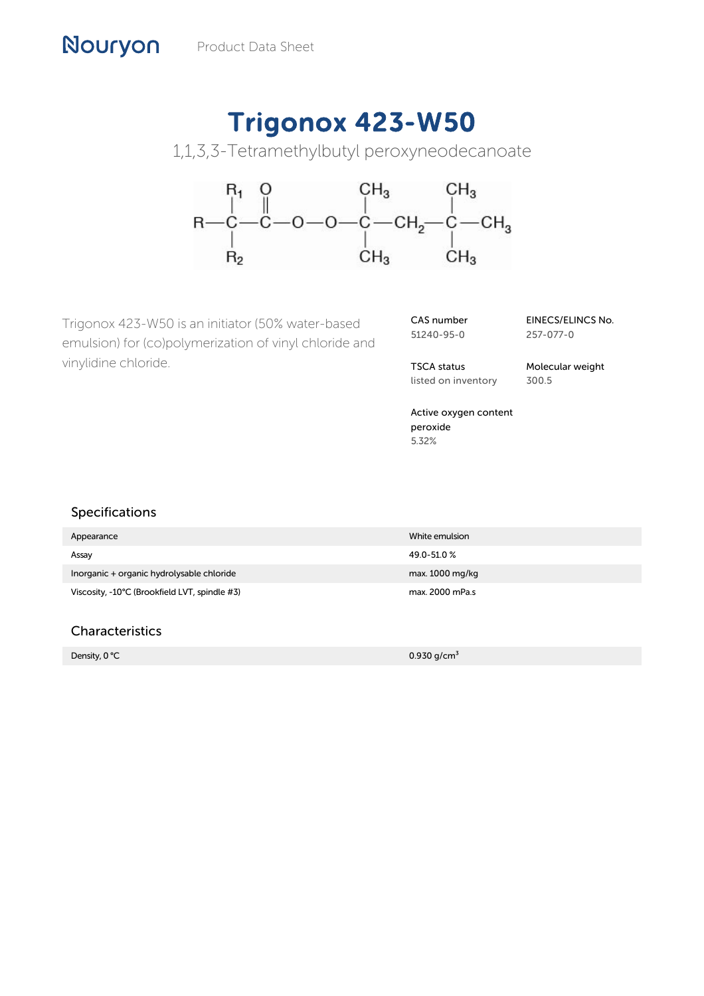# Trigonox 423-W50

1,1,3,3-Tetramethylbutyl peroxyneodecanoate



Trigonox 423-W50 is an initiator (50% water-based emulsion) for (co)polymerization of vinyl chloride and vinylidine chloride.

CAS number 51240-95-0

EINECS/ELINCS No. 257-077-0

TSCA status listed on inventory Molecular weight 300.5

Active oxygen content peroxide 5.32%

## Specifications

| Appearance                                    | White emulsion  |
|-----------------------------------------------|-----------------|
| Assay                                         | 49.0-51.0%      |
| Inorganic + organic hydrolysable chloride     | max. 1000 mg/kg |
| Viscosity, -10°C (Brookfield LVT, spindle #3) | max. 2000 mPa.s |

# Characteristics

Density,  $0^{\circ}$ C 0.930 g/cm $3^{\circ}$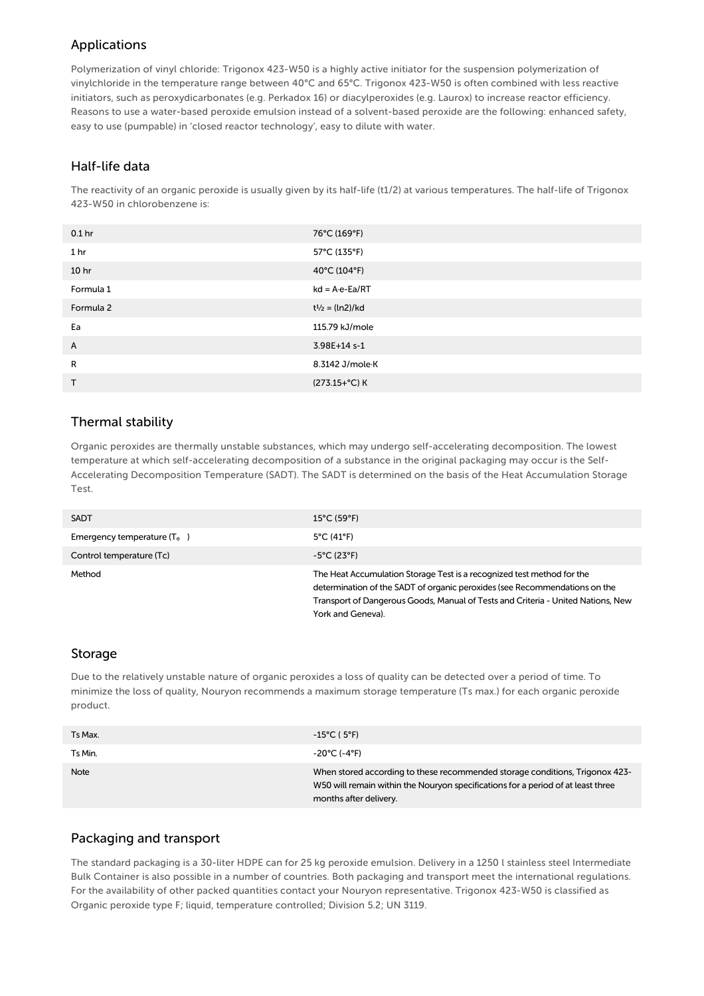## Applications

Polymerization of vinyl chloride: Trigonox 423-W50 is a highly active initiator for the suspension polymerization of vinylchloride in the temperature range between 40°C and 65°C. Trigonox 423-W50 is often combined with less reactive initiators, such as peroxydicarbonates (e.g. Perkadox 16) or diacylperoxides (e.g. Laurox) to increase reactor efficiency. Reasons to use a water-based peroxide emulsion instead of a solvent-based peroxide are the following: enhanced safety, easy to use (pumpable) in 'closed reactor technology', easy to dilute with water.

### Half-life data

The reactivity of an organic peroxide is usually given by its half-life (t1/2) at various temperatures. The half-life of Trigonox 423-W50 in chlorobenzene is:

| 0.1 <sub>hr</sub> | 76°C (169°F)             |
|-------------------|--------------------------|
| 1 <sub>hr</sub>   | 57°C (135°F)             |
| 10 <sub>hr</sub>  | 40°C (104°F)             |
| Formula 1         | $kd = A \cdot e - Ea/RT$ |
| Formula 2         | $t^{1/2} = (ln2)/kd$     |
| Ea                | 115.79 kJ/mole           |
| A                 | 3.98E+14 s-1             |
| R                 | 8.3142 J/mole K          |
| Τ                 | (273.15+°C) K            |

# Thermal stability

Organic peroxides are thermally unstable substances, which may undergo self-accelerating decomposition. The lowest temperature at which self-accelerating decomposition of a substance in the original packaging may occur is the Self-Accelerating Decomposition Temperature (SADT). The SADT is determined on the basis of the Heat Accumulation Storage Test.

| <b>SADT</b>                   | $15^{\circ}$ C (59 $^{\circ}$ F)                                                                                                                                                                                                                              |
|-------------------------------|---------------------------------------------------------------------------------------------------------------------------------------------------------------------------------------------------------------------------------------------------------------|
| Emergency temperature $(T_e)$ | $5^{\circ}$ C (41 $^{\circ}$ F)                                                                                                                                                                                                                               |
| Control temperature (Tc)      | $-5^{\circ}$ C (23°F)                                                                                                                                                                                                                                         |
| Method                        | The Heat Accumulation Storage Test is a recognized test method for the<br>determination of the SADT of organic peroxides (see Recommendations on the<br>Transport of Dangerous Goods, Manual of Tests and Criteria - United Nations, New<br>York and Geneva). |

#### Storage

Due to the relatively unstable nature of organic peroxides a loss of quality can be detected over a period of time. To minimize the loss of quality, Nouryon recommends a maximum storage temperature (Ts max.) for each organic peroxide product.

| Ts Max.     | $-15^{\circ}$ C (5°F)                                                                                                                                                                      |
|-------------|--------------------------------------------------------------------------------------------------------------------------------------------------------------------------------------------|
| Ts Min.     | -20°C (-4°F)                                                                                                                                                                               |
| <b>Note</b> | When stored according to these recommended storage conditions, Trigonox 423-<br>W50 will remain within the Nouryon specifications for a period of at least three<br>months after delivery. |

## Packaging and transport

The standard packaging is a 30-liter HDPE can for 25 kg peroxide emulsion. Delivery in a 1250 l stainless steel Intermediate Bulk Container is also possible in a number of countries. Both packaging and transport meet the international regulations. For the availability of other packed quantities contact your Nouryon representative. Trigonox 423-W50 is classified as Organic peroxide type F; liquid, temperature controlled; Division 5.2; UN 3119.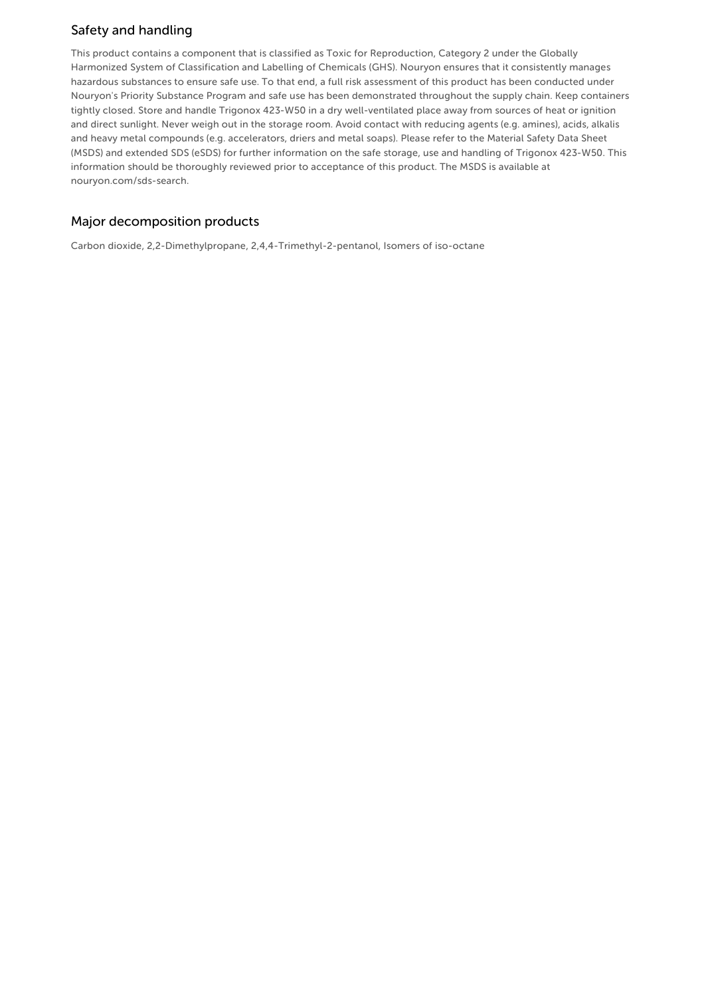# Safety and handling

This product contains a component that is classified as Toxic for Reproduction, Category 2 under the Globally Harmonized System of Classification and Labelling of Chemicals (GHS). Nouryon ensures that it consistently manages hazardous substances to ensure safe use. To that end, a full risk assessment of this product has been conducted under Nouryon's Priority Substance Program and safe use has been demonstrated throughout the supply chain. Keep containers tightly closed. Store and handle Trigonox 423-W50 in a dry well-ventilated place away from sources of heat or ignition and direct sunlight. Never weigh out in the storage room. Avoid contact with reducing agents (e.g. amines), acids, alkalis and heavy metal compounds (e.g. accelerators, driers and metal soaps). Please refer to the Material Safety Data Sheet (MSDS) and extended SDS (eSDS) for further information on the safe storage, use and handling of Trigonox 423-W50. This information should be thoroughly reviewed prior to acceptance of this product. The MSDS is available at nouryon.com/sds-search.

# Major decomposition products

Carbon dioxide, 2,2-Dimethylpropane, 2,4,4-Trimethyl-2-pentanol, Isomers of iso-octane